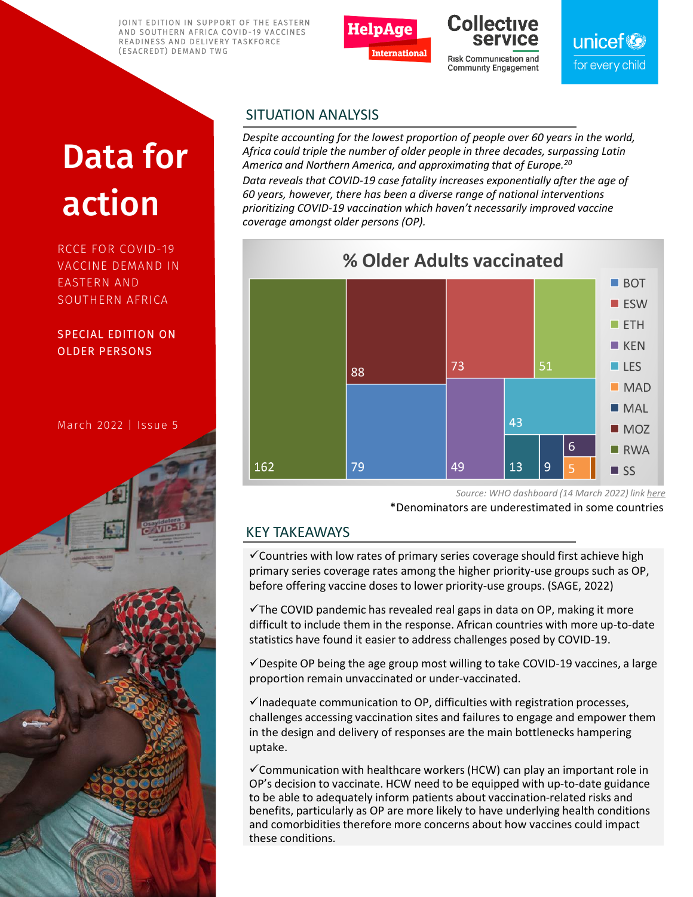JOINT EDITION IN SUPPORT OF THE EASTERN AND SOUTHERN AFRICA COVID-19 VACCINES READINESS AND DELIVERY TASKFORCE (ESACREDT) DEMAND TWG



# **Collective**

Risk Communication and **Community Engagement** 

unicef<sup>®</sup> for every child

# Data for action

RCCE FOR COVID-19 VACCINE DEMAND IN EASTERN AND SOUTHERN AFRICA

SPECIAL EDITION ON OLDER PERSONS

March 2022 | Issue 5

### SITUATION ANALYSIS

*Despite accounting for the lowest proportion of people over 60 years in the world, Africa could triple the number of older people in three decades, surpassing Latin America and Northern America, and approximating that of Europe.<sup>20</sup> Data reveals that COVID-19 case fatality increases exponentially after the age of 60 years, however, there has been a diverse range of national interventions prioritizing COVID-19 vaccination which haven't necessarily improved vaccine coverage amongst older persons (OP).*



*Source: WHO dashboard (14 March 2022) link [here](https://app.powerbi.com/view?r=eyJrIjoiY2ViYzIyZjItYzhkMi00ZWVkLTgyM2ItZTk1ZTJmODRjMTkxIiwidCI6ImY2MTBjMGI3LWJkMjQtNGIzOS04MTBiLTNkYzI4MGFmYjU5MCIsImMiOjh9)*

\*Denominators are underestimated in some countries

### KEY TAKEAWAYS

✓Countries with low rates of primary series coverage should first achieve high primary series coverage rates among the higher priority-use groups such as OP, before offering vaccine doses to lower priority-use groups. (SAGE, 2022)

 $\checkmark$ The COVID pandemic has revealed real gaps in data on OP, making it more difficult to include them in the response. African countries with more up-to-date statistics have found it easier to address challenges posed by COVID-19.

 $\checkmark$  Despite OP being the age group most willing to take COVID-19 vaccines, a large proportion remain unvaccinated or under-vaccinated.

 $\checkmark$ Inadequate communication to OP, difficulties with registration processes, challenges accessing vaccination sites and failures to engage and empower them in the design and delivery of responses are the main bottlenecks hampering uptake.

 $\checkmark$  Communication with healthcare workers (HCW) can play an important role in OP's decision to vaccinate. HCW need to be equipped with up-to-date guidance to be able to adequately inform patients about vaccination-related risks and benefits, particularly as OP are more likely to have underlying health conditions and comorbidities therefore more concerns about how vaccines could impact these conditions.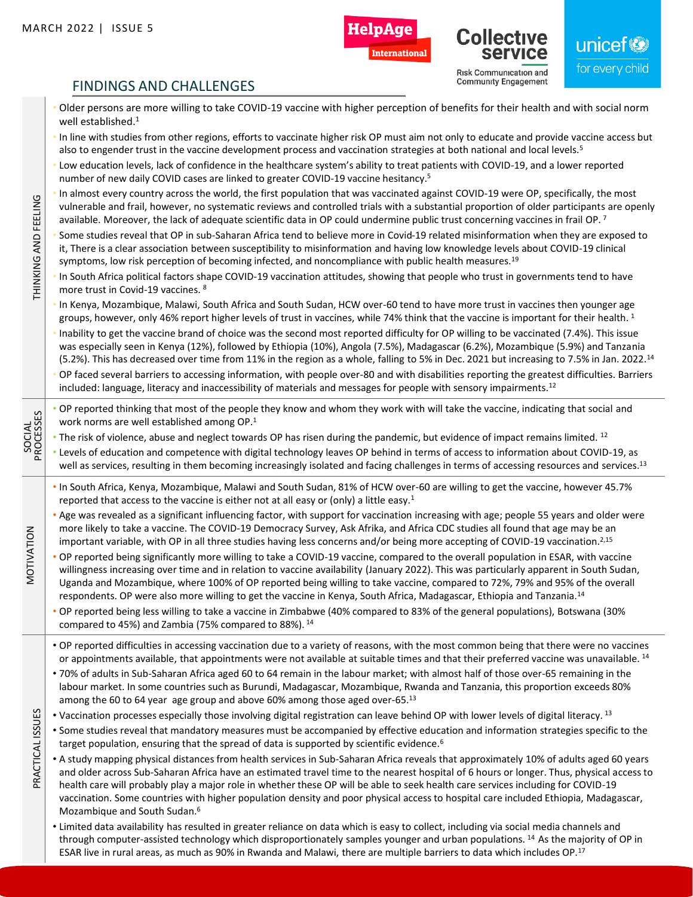MOTIVATION

PRACTICAL ISSUES

THINKING AND FEELING



**International** 

**Risk Communication and Community Engagement** 

Collect

unicef<sup>®</sup> for every child

### FINDINGS AND CHALLENGES

- Older persons are more willing to take COVID-19 vaccine with higher perception of benefits for their health and with social norm well established.<sup>1</sup>
- In line with studies from other regions, efforts to vaccinate higher risk OP must aim not only to educate and provide vaccine access but also to engender trust in the vaccine development process and vaccination strategies at both national and local levels.<sup>5</sup>
- Low education levels, lack of confidence in the healthcare system's ability to treat patients with COVID-19, and a lower reported number of new daily COVID cases are linked to greater COVID-19 vaccine hesitancy.<sup>5</sup>
- In almost every country across the world, the first population that was vaccinated against COVID-19 were OP, specifically, the most vulnerable and frail, however, no systematic reviews and controlled trials with a substantial proportion of older participants are openly available. Moreover, the lack of adequate scientific data in OP could undermine public trust concerning vaccines in frail OP.<sup>7</sup>
- Some studies reveal that OP in sub-Saharan Africa tend to believe more in Covid-19 related misinformation when they are exposed to it, There is a clear association between susceptibility to misinformation and having low knowledge levels about COVID-19 clinical symptoms, low risk perception of becoming infected, and noncompliance with public health measures.<sup>19</sup>
- THINKING AND FEELING In South Africa political factors shape COVID-19 vaccination attitudes, showing that people who trust in governments tend to have more trust in Covid-19 vaccines. <sup>8</sup>
	- In Kenya, Mozambique, Malawi, South Africa and South Sudan, HCW over-60 tend to have more trust in vaccines then younger age groups, however, only 46% report higher levels of trust in vaccines, while 74% think that the vaccine is important for their health.<sup>1</sup>
	- Inability to get the vaccine brand of choice was the second most reported difficulty for OP willing to be vaccinated (7.4%). This issue was especially seen in Kenya (12%), followed by Ethiopia (10%), Angola (7.5%), Madagascar (6.2%), Mozambique (5.9%) and Tanzania (5.2%). This has decreased over time from 11% in the region as a whole, falling to 5% in Dec. 2021 but increasing to 7.5% in Jan. 2022.<sup>14</sup>
	- OP faced several barriers to accessing information, with people over-80 and with disabilities reporting the greatest difficulties. Barriers included: language, literacy and inaccessibility of materials and messages for people with sensory impairments.<sup>12</sup>
	- OP reported thinking that most of the people they know and whom they work with will take the vaccine, indicating that social and work norms are well established among OP.<sup>1</sup>
- $\bullet$  The risk of violence, abuse and neglect towards OP has risen during the pandemic, but evidence of impact remains limited. <sup>12</sup>
- SOCIAL PROCESSES • Levels of education and competence with digital technology leaves OP behind in terms of access to information about COVID-19, as well as services, resulting in them becoming increasingly isolated and facing challenges in terms of accessing resources and services.<sup>13</sup>
	- In South Africa, Kenya, Mozambique, Malawi and South Sudan, 81% of HCW over-60 are willing to get the vaccine, however 45.7% reported that access to the vaccine is either not at all easy or (only) a little easy.<sup>1</sup>
	- Age was revealed as a significant influencing factor, with support for vaccination increasing with age; people 55 years and older were more likely to take a vaccine. The COVID-19 Democracy Survey, Ask Afrika, and Africa CDC studies all found that age may be an important variable, with OP in all three studies having less concerns and/or being more accepting of COVID-19 vaccination.<sup>2,15</sup>
	- OP reported being significantly more willing to take a COVID-19 vaccine, compared to the overall population in ESAR, with vaccine willingness increasing over time and in relation to vaccine availability (January 2022). This was particularly apparent in South Sudan, Uganda and Mozambique, where 100% of OP reported being willing to take vaccine, compared to 72%, 79% and 95% of the overall respondents. OP were also more willing to get the vaccine in Kenya, South Africa, Madagascar, Ethiopia and Tanzania.<sup>14</sup>
		- OP reported being less willing to take a vaccine in Zimbabwe (40% compared to 83% of the general populations), Botswana (30% compared to 45%) and Zambia (75% compared to 88%). <sup>14</sup>
		- OP reported difficulties in accessing vaccination due to a variety of reasons, with the most common being that there were no vaccines or appointments available, that appointments were not available at suitable times and that their preferred vaccine was unavailable. <sup>14</sup>
		- 70% of adults in Sub-Saharan Africa aged 60 to 64 remain in the labour market; with almost half of those over-65 remaining in the labour market. In some countries such as Burundi, Madagascar, Mozambique, Rwanda and Tanzania, this proportion exceeds 80% among the 60 to 64 year age group and above 60% among those aged over-65.<sup>13</sup>
	- PRACTICAL ISSUES • Vaccination processes especially those involving digital registration can leave behind OP with lower levels of digital literacy. <sup>13</sup>
		- Some studies reveal that mandatory measures must be accompanied by effective education and information strategies specific to the target population, ensuring that the spread of data is supported by scientific evidence.<sup>6</sup>
		- A study mapping physical distances from health services in Sub-Saharan Africa reveals that approximately 10% of adults aged 60 years and older across Sub-Saharan Africa have an estimated travel time to the nearest hospital of 6 hours or longer. Thus, physical access to health care will probably play a major role in whether these OP will be able to seek health care services including for COVID-19 vaccination. Some countries with higher population density and poor physical access to hospital care included Ethiopia, Madagascar, Mozambique and South Sudan.<sup>6</sup>
		- Limited data availability has resulted in greater reliance on data which is easy to collect, including via social media channels and through computer-assisted technology which disproportionately samples younger and urban populations.  $14$  As the majority of OP in ESAR live in rural areas, as much as 90% in Rwanda and Malawi, there are multiple barriers to data which includes OP.17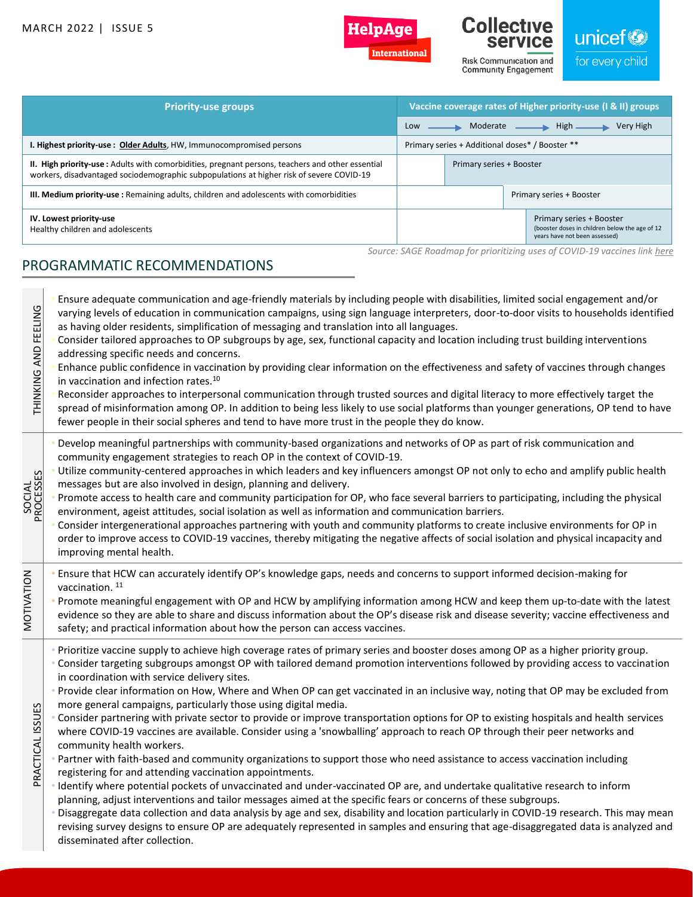

Internationa



Risk Communication and **Community Engagement** 

## unicef

for every child

| <b>Priority-use groups</b>                                                                                                                                                                   | Vaccine coverage rates of Higher priority-use (I & II) groups |  |  |                                                                                                             |
|----------------------------------------------------------------------------------------------------------------------------------------------------------------------------------------------|---------------------------------------------------------------|--|--|-------------------------------------------------------------------------------------------------------------|
|                                                                                                                                                                                              | Moderate —— High ——<br>Very High<br>Low                       |  |  |                                                                                                             |
| I. Highest priority-use: Older Adults, HW, Immunocompromised persons                                                                                                                         | Primary series + Additional doses* / Booster **               |  |  |                                                                                                             |
| II. High priority-use: Adults with comorbidities, pregnant persons, teachers and other essential<br>workers, disadvantaged sociodemographic subpopulations at higher risk of severe COVID-19 | Primary series + Booster                                      |  |  |                                                                                                             |
| III. Medium priority-use: Remaining adults, children and adolescents with comorbidities                                                                                                      | Primary series + Booster                                      |  |  |                                                                                                             |
| IV. Lowest priority-use<br>Healthy children and adolescents                                                                                                                                  |                                                               |  |  | Primary series + Booster<br>(booster doses in children below the age of 12<br>years have not been assessed) |
| Source: SAGE Roadmap for prioritizing uses of COVID-19 vaccines link here<br>PROGRAMMATIC RECOMMENDATIONS                                                                                    |                                                               |  |  |                                                                                                             |

### • Ensure adequate communication and age-friendly materials by including people with disabilities, limited social engagement and/or THINKING AND FEELING THINKING AND FEELING varying levels of education in communication campaigns, using sign language interpreters, door-to-door visits to households identified as having older residents, simplification of messaging and translation into all languages. • Consider tailored approaches to OP subgroups by age, sex, functional capacity and location including trust building interventions addressing specific needs and concerns. • Enhance public confidence in vaccination by providing clear information on the effectiveness and safety of vaccines through changes in vaccination and infection rates.<sup>10</sup> • Reconsider approaches to interpersonal communication through trusted sources and digital literacy to more effectively target the spread of misinformation among OP. In addition to being less likely to use social platforms than younger generations, OP tend to have fewer people in their social spheres and tend to have more trust in the people they do know. • Develop meaningful partnerships with community-based organizations and networks of OP as part of risk communication and community engagement strategies to reach OP in the context of COVID-19. • Utilize community-centered approaches in which leaders and key influencers amongst OP not only to echo and amplify public health SOCIAL PROCESSES messages but are also involved in design, planning and delivery. • Promote access to health care and community participation for OP, who face several barriers to participating, including the physical environment, ageist attitudes, social isolation as well as information and communication barriers. • Consider intergenerational approaches partnering with youth and community platforms to create inclusive environments for OP in order to improve access to COVID-19 vaccines, thereby mitigating the negative affects of social isolation and physical incapacity and improving mental health. MOTIVATION • Ensure that HCW can accurately identify OP's knowledge gaps, needs and concerns to support informed decision-making for vaccination.<sup>11</sup> • Promote meaningful engagement with OP and HCW by amplifying information among HCW and keep them up‐to‐date with the latest evidence so they are able to share and discuss information about the OP's disease risk and disease severity; vaccine effectiveness and safety; and practical information about how the person can access vaccines. • Prioritize vaccine supply to achieve high coverage rates of primary series and booster doses among OP as a higher priority group. • Consider targeting subgroups amongst OP with tailored demand promotion interventions followed by providing access to vaccination in coordination with service delivery sites. • Provide clear information on How, Where and When OP can get vaccinated in an inclusive way, noting that OP may be excluded from more general campaigns, particularly those using digital media. PRACTICAL ISSUES PRACTICAL ISSUES • Consider partnering with private sector to provide or improve transportation options for OP to existing hospitals and health services where COVID-19 vaccines are available. Consider using a 'snowballing' approach to reach OP through their peer networks and community health workers. • Partner with faith-based and community organizations to support those who need assistance to access vaccination including registering for and attending vaccination appointments. • Identify where potential pockets of unvaccinated and under-vaccinated OP are, and undertake qualitative research to inform planning, adjust interventions and tailor messages aimed at the specific fears or concerns of these subgroups. • Disaggregate data collection and data analysis by age and sex, disability and location particularly in COVID-19 research. This may mean revising survey designs to ensure OP are adequately represented in samples and ensuring that age-disaggregated data is analyzed and disseminated after collection.